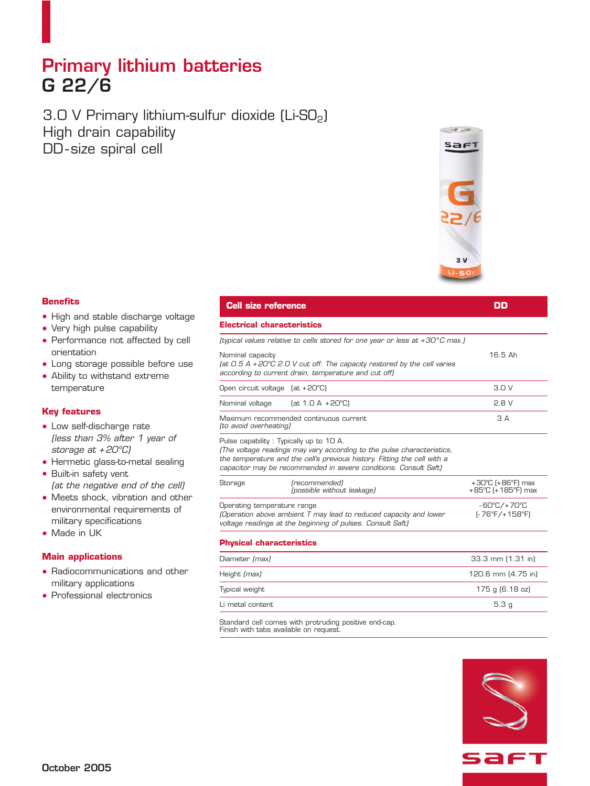## **Primary lithium batteries G 22/6**

 $3.0$  V Primary lithium-sulfur dioxide (Li-SO<sub>2</sub>) High drain capability DD - size spiral cell



### **Benefits**

- High and stable discharge voltage
- Very high pulse capability
- Performance not affected by cell orientation
- Long storage possible before use
- Ability to withstand extreme temperature

### **Key features**

- Low self-discharge rate *(less than 3% after 1 year of storage at + 20ºC)*
- Hermetic glass-to-metal sealing
- Built-in safety vent *(at the negative end of the cell)*
- Meets shock, vibration and other environmental requirements of military specifications
- Made in UK

### **Main applications**

- Radiocommunications and other military applications
- Professional electronics

### **Cell size reference DD Electrical characteristics**

|                                                                                                                                 | (typical values relative to cells stored for one year or less at +30°C max.) |         |
|---------------------------------------------------------------------------------------------------------------------------------|------------------------------------------------------------------------------|---------|
| (at 0.5 A +20°C 2.0 V cut off. The capacity restored by the cell varies<br>according to current drain, temperature and cut off) | Nominal capacity                                                             | 16.5 Ah |

| Open circuit voltage (at +20°C) |                                        | 30V     |
|---------------------------------|----------------------------------------|---------|
| Nominal voltage                 | (at 1.0 A +20°C)                       | $P$ R V |
| (to avoid overheating)          | Maximum recommended continuous current | A       |
|                                 |                                        |         |

Pulse capability : Typically up to 10 A.

*(The voltage readings may vary according to the pulse characteristics, the temperature and the cell's previous history. Fitting the cell with a capacitor may be recommended in severe conditions. Consult Saft)*

| Storage                                                                                                                                                        | (recommended)<br>(possible without leakage) | $+30^{\circ}$ C (+86 $^{\circ}$ F) max<br>+85°C (+185°F) max |
|----------------------------------------------------------------------------------------------------------------------------------------------------------------|---------------------------------------------|--------------------------------------------------------------|
| Operating temperature range<br>(Operation above ambient T may lead to reduced capacity and lower<br>voltage readings at the beginning of pulses. Consult Saft) |                                             | -60°C/+70°C<br>$F-76^{\circ}F/+158^{\circ}F$                 |

### **Physical characteristics**

| Diameter (max)   | 33.3 mm (1.31 in)  |
|------------------|--------------------|
| Height (max)     | 120.6 mm (4.75 in) |
| Typical weight   | 175 g (6.18 oz)    |
| Li metal content | 5.3q               |

Standard cell comes with protruding positive end-cap. Finish with tabs available on request.